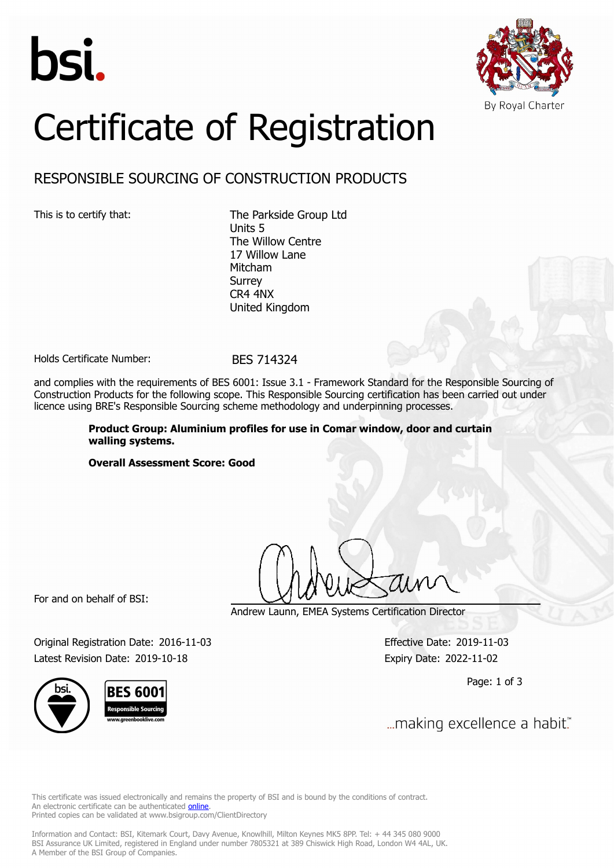



# Certificate of Registration

## RESPONSIBLE SOURCING OF CONSTRUCTION PRODUCTS

This is to certify that: The Parkside Group Ltd Units 5 The Willow Centre 17 Willow Lane Mitcham Surrey CR4 4NX United Kingdom

Holds Certificate Number: BES 714324

and complies with the requirements of BES 6001: Issue 3.1 - Framework Standard for the Responsible Sourcing of Construction Products for the following scope. This Responsible Sourcing certification has been carried out under licence using BRE's Responsible Sourcing scheme methodology and underpinning processes.

> **Product Group: Aluminium profiles for use in Comar window, door and curtain walling systems.**

**Overall Assessment Score: Good**

For and on behalf of BSI:

Andrew Launn, EMEA Systems Certification Director

Original Registration Date: 2016-11-03 Effective Date: 2019-11-03 Latest Revision Date: 2019-10-18 Expiry Date: 2022-11-02

Page: 1 of 3

... making excellence a habit."

This certificate was issued electronically and remains the property of BSI and is bound by the conditions of contract. An electronic certificate can be authenticated **[online](https://pgplus.bsigroup.com/CertificateValidation/CertificateValidator.aspx?CertificateNumber=BES+714324&ReIssueDate=18%2f10%2f2019&Template=uk)**. Printed copies can be validated at www.bsigroup.com/ClientDirectory

Information and Contact: BSI, Kitemark Court, Davy Avenue, Knowlhill, Milton Keynes MK5 8PP. Tel: + 44 345 080 9000 BSI Assurance UK Limited, registered in England under number 7805321 at 389 Chiswick High Road, London W4 4AL, UK. A Member of the BSI Group of Companies.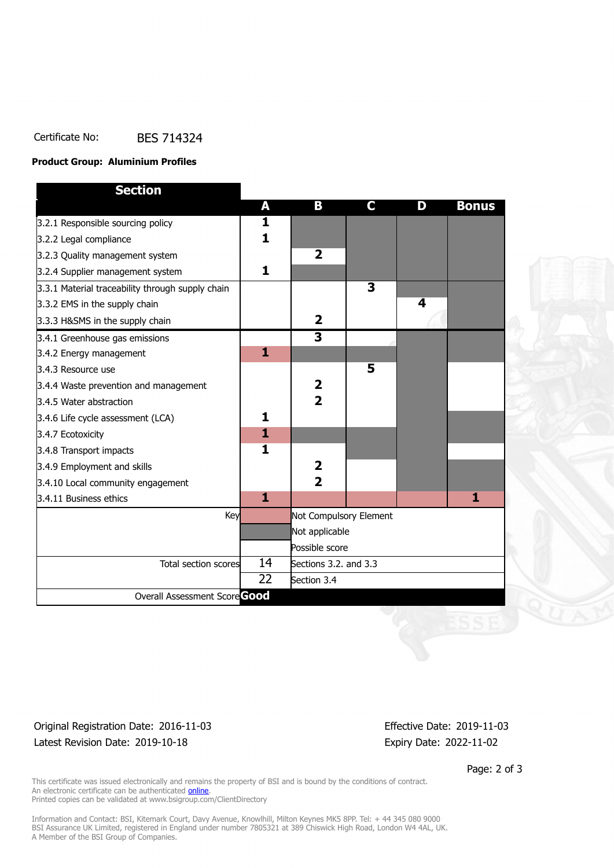## Certificate No: BES 714324

#### **Product Group: Aluminium Profiles**

| <b>Section</b>                                   |              |                         |                         |   |              |
|--------------------------------------------------|--------------|-------------------------|-------------------------|---|--------------|
|                                                  | A            | B                       | C.                      | D | <b>Bonus</b> |
| 3.2.1 Responsible sourcing policy                | 1            |                         |                         |   |              |
| 3.2.2 Legal compliance                           | 1            |                         |                         |   |              |
| 3.2.3 Quality management system                  |              | $\overline{2}$          |                         |   |              |
| 3.2.4 Supplier management system                 | 1            |                         |                         |   |              |
| 3.3.1 Material traceability through supply chain |              |                         | $\overline{\mathbf{3}}$ |   |              |
| 3.3.2 EMS in the supply chain                    |              |                         |                         | 4 |              |
| 3.3.3 H&SMS in the supply chain                  |              | $\mathbf{2}$            |                         |   |              |
| 3.4.1 Greenhouse gas emissions                   |              | $\overline{\mathbf{3}}$ |                         |   |              |
| 3.4.2 Energy management                          | $\mathbf{1}$ |                         |                         |   |              |
| 3.4.3 Resource use                               |              |                         | 5                       |   |              |
| 3.4.4 Waste prevention and management            |              | $\mathbf{2}$            |                         |   |              |
| 3.4.5 Water abstraction                          |              | $\overline{2}$          |                         |   |              |
| 3.4.6 Life cycle assessment (LCA)                | 1            |                         |                         |   |              |
| 3.4.7 Ecotoxicity                                | $\mathbf{1}$ |                         |                         |   |              |
| 3.4.8 Transport impacts                          | 1            |                         |                         |   |              |
| 3.4.9 Employment and skills                      |              | $\overline{2}$          |                         |   |              |
| 3.4.10 Local community engagement                |              | $\overline{2}$          |                         |   |              |
| 3.4.11 Business ethics                           | $\mathbf{1}$ |                         |                         |   | 1            |
| Key                                              |              | Not Compulsory Element  |                         |   |              |
|                                                  |              | Not applicable          |                         |   |              |
|                                                  |              | Possible score          |                         |   |              |
| Total section scores                             | 14           | Sections 3.2. and 3.3   |                         |   |              |
|                                                  | 22           | Section 3.4             |                         |   |              |
| Overall Assessment Score Good                    |              |                         |                         |   |              |

## Original Registration Date: 2016-11-03 Effective Date: 2019-11-03 Latest Revision Date: 2019-10-18 Expiry Date: 2022-11-02

Page: 2 of 3

This certificate was issued electronically and remains the property of BSI and is bound by the conditions of contract. An electronic certificate can be authenticated **[online](https://pgplus.bsigroup.com/CertificateValidation/CertificateValidator.aspx?CertificateNumber=BES+714324&ReIssueDate=18%2f10%2f2019&Template=uk)**. Printed copies can be validated at www.bsigroup.com/ClientDirectory

Information and Contact: BSI, Kitemark Court, Davy Avenue, Knowlhill, Milton Keynes MK5 8PP. Tel: + 44 345 080 9000 BSI Assurance UK Limited, registered in England under number 7805321 at 389 Chiswick High Road, London W4 4AL, UK. A Member of the BSI Group of Companies.